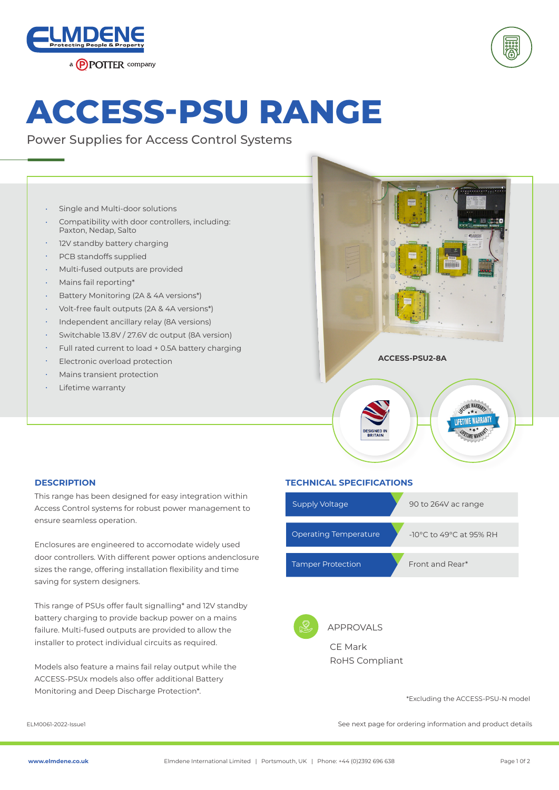



## **ACCESS-PSU RANGE**

Power Supplies for Access Control Systems

- Single and Multi-door solutions •
- Compatibility with door controllers, including: Paxton, Nedap, Salto •
- 12V standby battery charging •
- PCB standoffs supplied •
- Multi-fused outputs are provided •
- Mains fail reporting\* •
- Battery Monitoring (2A & 4A versions\*) •
- Volt-free fault outputs (2A & 4A versions\*) •
- Independent ancillary relay (8A versions) •
- Switchable 13.8V / 27.6V dc output (8A version) •
- Full rated current to load + 0.5A battery charging •
- Electronic overload protection •
- Mains transient protection •
- Lifetime warranty •



This range has been designed for easy integration within Access Control systems for robust power management to ensure seamless operation.

Enclosures are engineered to accomodate widely used door controllers. With different power options andenclosure sizes the range, offering installation flexibility and time saving for system designers.

This range of PSUs offer fault signalling\* and 12V standby battery charging to provide backup power on a mains failure. Multi-fused outputs are provided to allow the installer to protect individual circuits as required.

Models also feature a mains fail relay output while the ACCESS-PSUx models also offer additional Battery Monitoring and Deep Discharge Protection\*.

## **DESCRIPTION TECHNICAL SPECIFICATIONS**

| <b>Supply Voltage</b>        | 90 to 264V ac range                         |
|------------------------------|---------------------------------------------|
| <b>Operating Temperature</b> | -10 $\degree$ C to 49 $\degree$ C at 95% RH |
| <b>Tamper Protection</b>     | Front and Rear*                             |
|                              |                                             |



APPROVALS CE Mark RoHS Compliant

\*Excluding the ACCESS-PSU-N model

ELM0061-2022-Issue1 See next page for ordering information and product details